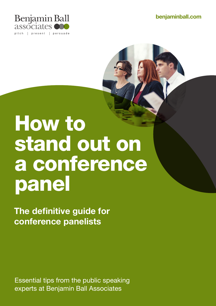benjaminball.com



# How to stand out on a conference panel

The definitive guide for conference panelists

Essential tips from the public speaking experts at Benjamin Ball Associates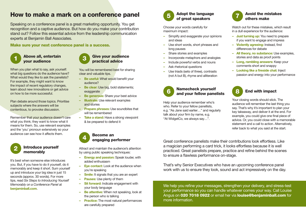# How to make a mark on a conference panel

Speaking on a conference panel is a great marketing opportunity. You get recognition and a captive audience. But how do you make your contribution stand out? Follow this essential advice from the leadership communication experts at Benjamin Ball Associates.

Make sure your next conference panel is a success.

### **1** Above all, entertain **3**<br>vour audience your audience

When you plan what to say, ask yourself: what big questions do the audience have? What would they like to ask the panelists? For example, they might want to know the impact of recent regulatory changes, learn about new innovations or get advice on how to be more successful.

Plan debate around those topics. Prioritise subjects where the answers will be contentious, to provoke discussion.

Remember that your audience doesn't care what you think; they want to know what it means for them. So, use relevant examples and the 'you' pronoun extensively so your audience can see how it affects them.

#### Introduce yourself memorably 2

It's best when someone else introduces you. But, if you have to do it yourself, do it memorably and keep it short. Sum yourself up and introduce your big idea in just 15 seconds (approx. 30 words). For more tips, read *Six Steps to Introducing Yourself Memorably on a Conference Panel* at benjaminball.com.



#### Give your audience practical advice

You will be remembered best for sharing clear and valuable tips.

- Be useful: What would benefit your audience?
- Be clear: Use big, bold statements; exaggerate
- Be generous: Share your best advice
- Illustrate: Use relevant examples and stories
- Prepare phrases: Use soundbites that will be remembered
- Take a stand: Have a strong viewpoint & be prepared to defend it



Attract and maintain the audience's attention by using public speaking techniques:

- Energy and passion: Speak louder, with added enthusiasm
- Eye contact: Look at the audience when you're speaking
- **Smile:** It signals that you are an expert
- Pauses: Use plenty of them
- Sit forward: Indicate engagement with your body language
- Be attentive: When not speaking, look at the person who is talking
- Practice: The most natural performances are carefully prepared



#### Adopt the language 5 Adopt the language<br>
of great speakers

Choose your words carefully for maximum impact:

- Simplify and exaggerate your opinions and ideas
- Use short words, short phrases and long pauses
- Share stories and examples
- Incorporate metaphors and analogies
- Include powerful verbs and nouns
- Ask rhetorical questions
- Use triads (sets of three), contrasts (not A but B), rhyme and alliteration



#### Namecheck yourself 6 Namecheck yoursell<br>and your fellow panelists

Help your audience remember who's who. Refer to your fellow panellists, e.g. "As Jane said earlier…" and regularly talk about your firm by name, e.g. "At WidgetCo, we always say…".



#### Avoid the mistakes others make

Watch out for these mistakes, which result in a dull experience for the audience:

- Just turning up: You need to prepare if you want to engage and impress
- Violently agreeing: Instead, find differences for debate
- All theory, no substance: Use examples, stories and data as proof points
- Long, rambling answers: Keep your comments short and snappy
- Looking like a fireside chat: Inject passion and energy into your performance



## End with impact

Your closing words should stick. The audience will remember the last thing you say. That's why it's important to plan your key takeaway, and deliver it at the end. For example, you could give one final piece of advice. Or, you could close with a memorable statement and a call to action. Alternatively, refer back to what you said at the start.

Great conference panelists make their contributions look effortless. Like a magician performing a card trick, it looks effortless because it is well practiced. Great panelists prepare, practice and refine behind the scenes to ensure a flawless performance on-stage.

That's why Senior Executives who have an upcoming conference panel work with us to ensure they look, sound and act impressively on the day.

We help you refine your messages, strengthen your delivery, and stress-test your performance so you can handle whatever comes your way. Call Louise Angus on 020 7018 0922 or email her via louise@benjaminball.com for more information.